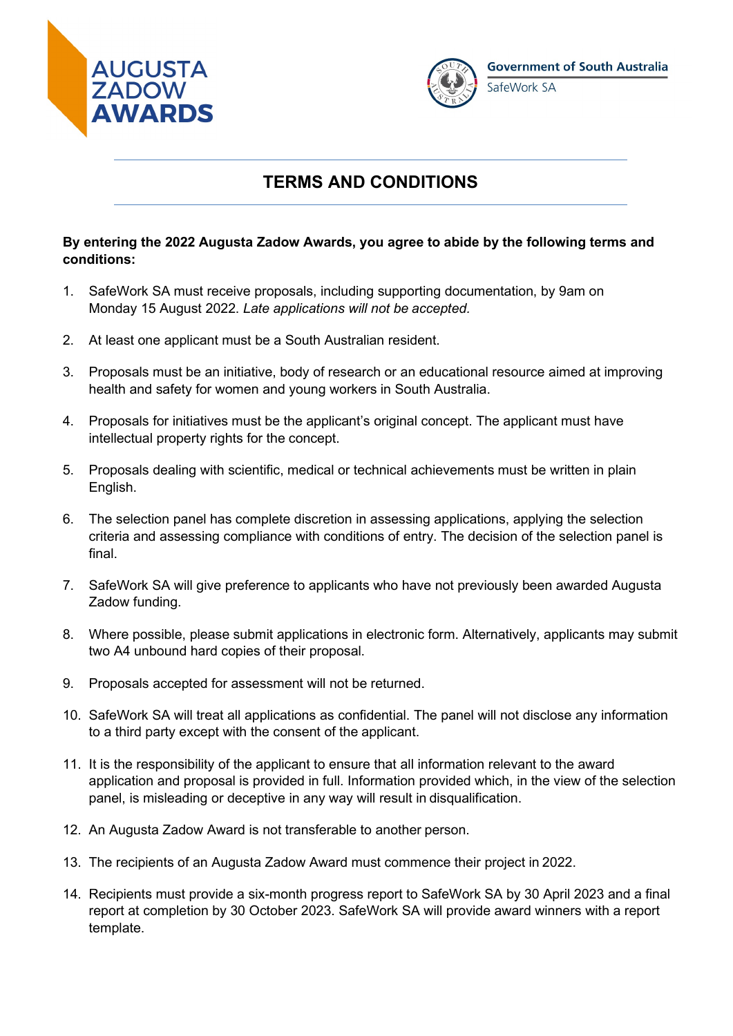



# **TERMS AND CONDITIONS**

#### **By entering the 2022 Augusta Zadow Awards, you agree to abide by the following terms and conditions:**

- 1. SafeWork SA must receive proposals, including supporting documentation, by 9am on Monday 15 August 2022. *Late applications will not be accepted.*
- 2. At least one applicant must be a South Australian resident.
- 3. Proposals must be an initiative, body of research or an educational resource aimed at improving health and safety for women and young workers in South Australia.
- 4. Proposals for initiatives must be the applicant's original concept. The applicant must have intellectual property rights for the concept.
- 5. Proposals dealing with scientific, medical or technical achievements must be written in plain English.
- 6. The selection panel has complete discretion in assessing applications, applying the selection criteria and assessing compliance with conditions of entry. The decision of the selection panel is final.
- 7. SafeWork SA will give preference to applicants who have not previously been awarded Augusta Zadow funding.
- 8. Where possible, please submit applications in electronic form. Alternatively, applicants may submit two A4 unbound hard copies of their proposal.
- 9. Proposals accepted for assessment will not be returned.
- 10. SafeWork SA will treat all applications as confidential. The panel will not disclose any information to a third party except with the consent of the applicant.
- 11. It is the responsibility of the applicant to ensure that all information relevant to the award application and proposal is provided in full. Information provided which, in the view of the selection panel, is misleading or deceptive in any way will result in disqualification.
- 12. An Augusta Zadow Award is not transferable to another person.
- 13. The recipients of an Augusta Zadow Award must commence their project in 2022.
- 14. Recipients must provide a six-month progress report to SafeWork SA by 30 April 2023 and a final report at completion by 30 October 2023. SafeWork SA will provide award winners with a report template.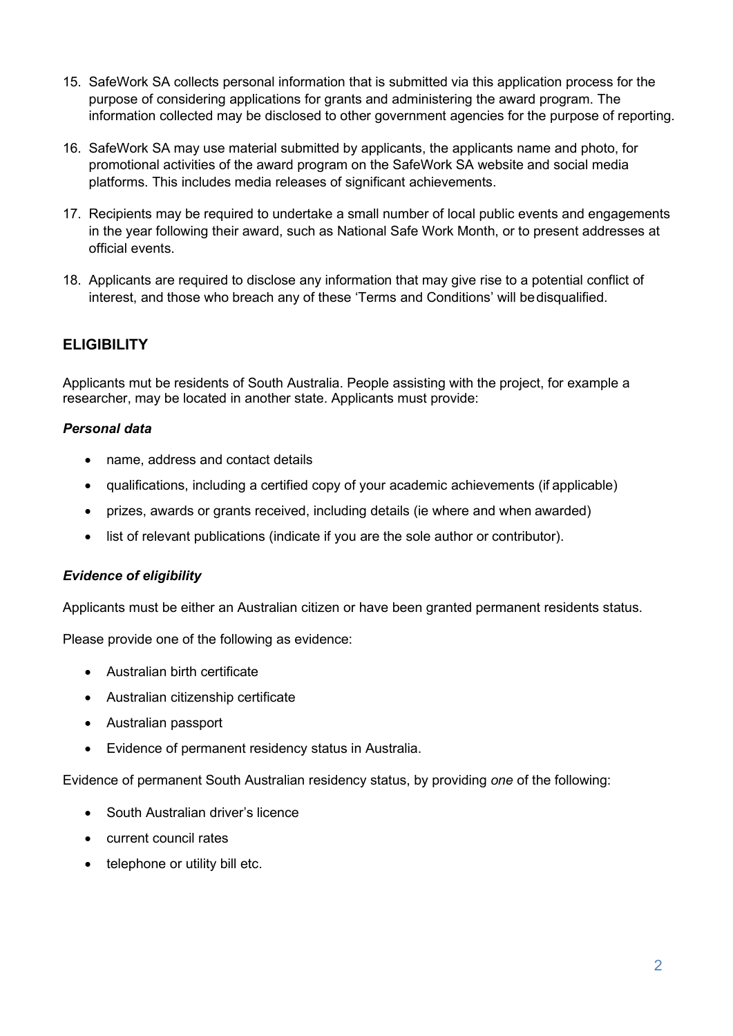- 15. SafeWork SA collects personal information that is submitted via this application process for the purpose of considering applications for grants and administering the award program. The information collected may be disclosed to other government agencies for the purpose of reporting.
- 16. SafeWork SA may use material submitted by applicants, the applicants name and photo, for promotional activities of the award program on the SafeWork SA website and social media platforms. This includes media releases of significant achievements.
- 17. Recipients may be required to undertake a small number of local public events and engagements in the year following their award, such as National Safe Work Month, or to present addresses at official events.
- 18. Applicants are required to disclose any information that may give rise to a potential conflict of interest, and those who breach any of these 'Terms and Conditions' will bedisqualified.

## **ELIGIBILITY**

Applicants mut be residents of South Australia. People assisting with the project, for example a researcher, may be located in another state. Applicants must provide:

### *Personal data*

- name, address and contact details
- qualifications, including a certified copy of your academic achievements (if applicable)
- prizes, awards or grants received, including details (ie where and when awarded)
- list of relevant publications (indicate if you are the sole author or contributor).

### *Evidence of eligibility*

Applicants must be either an Australian citizen or have been granted permanent residents status.

Please provide one of the following as evidence:

- Australian birth certificate
- Australian citizenship certificate
- Australian passport
- Evidence of permanent residency status in Australia.

Evidence of permanent South Australian residency status, by providing *one* of the following:

- South Australian driver's licence
- current council rates
- telephone or utility bill etc.